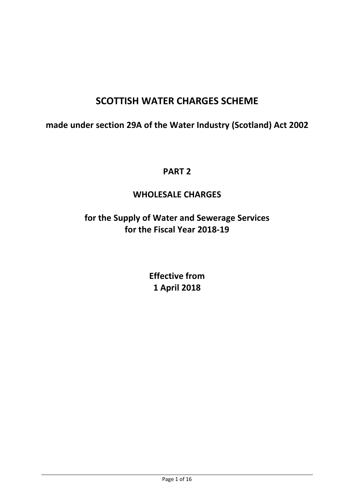# SCOTTISH WATER CHARGES SCHEME

made under section 29A of the Water Industry (Scotland) Act 2002

# PART 2

# WHOLESALE CHARGES

for the Supply of Water and Sewerage Services for the Fiscal Year 2018-19

> Effective from 1 April 2018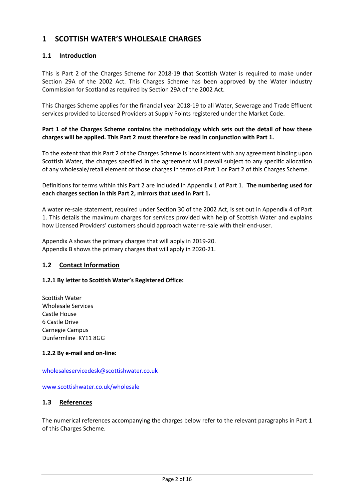# 1 SCOTTISH WATER'S WHOLESALE CHARGES

## 1.1 Introduction

This is Part 2 of the Charges Scheme for 2018-19 that Scottish Water is required to make under Section 29A of the 2002 Act. This Charges Scheme has been approved by the Water Industry Commission for Scotland as required by Section 29A of the 2002 Act.

This Charges Scheme applies for the financial year 2018-19 to all Water, Sewerage and Trade Effluent services provided to Licensed Providers at Supply Points registered under the Market Code.

#### Part 1 of the Charges Scheme contains the methodology which sets out the detail of how these charges will be applied. This Part 2 must therefore be read in conjunction with Part 1.

To the extent that this Part 2 of the Charges Scheme is inconsistent with any agreement binding upon Scottish Water, the charges specified in the agreement will prevail subject to any specific allocation of any wholesale/retail element of those charges in terms of Part 1 or Part 2 of this Charges Scheme.

Definitions for terms within this Part 2 are included in Appendix 1 of Part 1. The numbering used for each charges section in this Part 2, mirrors that used in Part 1.

A water re-sale statement, required under Section 30 of the 2002 Act, is set out in Appendix 4 of Part 1. This details the maximum charges for services provided with help of Scottish Water and explains how Licensed Providers' customers should approach water re-sale with their end-user.

Appendix A shows the primary charges that will apply in 2019-20. Appendix B shows the primary charges that will apply in 2020-21.

## 1.2 Contact Information

#### 1.2.1 By letter to Scottish Water's Registered Office:

Scottish Water Wholesale Services Castle House 6 Castle Drive Carnegie Campus Dunfermline KY11 8GG

#### 1.2.2 By e-mail and on-line:

wholesaleservicedesk@scottishwater.co.uk

www.scottishwater.co.uk/wholesale

#### 1.3 References

The numerical references accompanying the charges below refer to the relevant paragraphs in Part 1 of this Charges Scheme.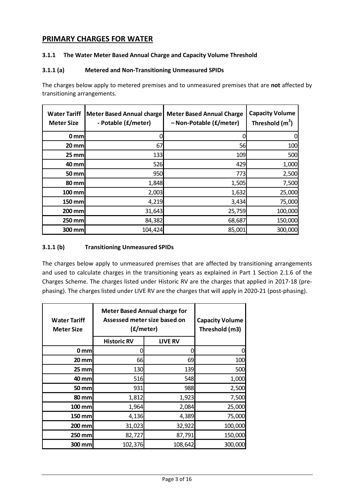# PRIMARY CHARGES FOR WATER

### 3.1.1 The Water Meter Based Annual Charge and Capacity Volume Threshold

#### 3.1.1 (a) Metered and Non-Transitioning Unmeasured SPIDs

The charges below apply to metered premises and to unmeasured premises that are not affected by transitioning arrangements.

| <b>Water Tariff</b><br><b>Meter Size</b> | <b>Meter Based Annual charge</b><br>- Potable (£/meter) | <b>Meter Based Annual Charge</b><br>- Non-Potable (£/meter) | <b>Capacity Volume</b><br>Threshold (m <sup>3</sup> ) |
|------------------------------------------|---------------------------------------------------------|-------------------------------------------------------------|-------------------------------------------------------|
| $0 \text{ mm}$                           | 0                                                       |                                                             |                                                       |
| $20$ mm                                  | 67                                                      | 56                                                          | 100                                                   |
| $25$ mm                                  | 133                                                     | 109                                                         | 500                                                   |
| 40 mm                                    | 526                                                     | 429                                                         | 1,000                                                 |
| <b>50 mm</b>                             | 950                                                     | 773                                                         | 2,500                                                 |
| 80 mm                                    | 1,848                                                   | 1,505                                                       | 7,500                                                 |
| 100 mm                                   | 2,003                                                   | 1,632                                                       | 25,000                                                |
| 150 mm                                   | 4,219                                                   | 3,434                                                       | 75,000                                                |
| 200 mm                                   | 31,643                                                  | 25,759                                                      | 100,000                                               |
| 250 mm                                   | 84,382                                                  | 68,687                                                      | 150,000                                               |
| 300 mm                                   | 104,424                                                 | 85,001                                                      | 300,000                                               |

### 3.1.1 (b) Transitioning Unmeasured SPIDs

| <b>Meter Based Annual charge for</b><br>Assessed meter size based on<br><b>Water Tariff</b><br>(£/meter)<br><b>Meter Size</b> |                    | <b>Capacity Volume</b><br>Threshold (m3) |         |
|-------------------------------------------------------------------------------------------------------------------------------|--------------------|------------------------------------------|---------|
|                                                                                                                               | <b>Historic RV</b> | <b>LIVE RV</b>                           |         |
| 0 <sub>mm</sub>                                                                                                               | 0                  |                                          | 0       |
| $20 \text{ mm}$                                                                                                               | 66                 | 69                                       | 100     |
| $25$ mm                                                                                                                       | 130                | 139                                      | 500     |
| 40 mm                                                                                                                         | 516                | 548                                      | 1,000   |
| 50 mm                                                                                                                         | 931                | 988                                      | 2,500   |
| 80 mm                                                                                                                         | 1,812              | 1,923                                    | 7,500   |
| $100$ mm                                                                                                                      | 1,964              | 2,084                                    | 25,000  |
| 150 mm                                                                                                                        | 4,136              | 4,389                                    | 75,000  |
| 200 mm                                                                                                                        | 31,023             | 32,922                                   | 100,000 |
| 250 mm                                                                                                                        | 82,727             | 87,791                                   | 150,000 |
| 300 mm                                                                                                                        | 102,376            | 108,642                                  | 300,000 |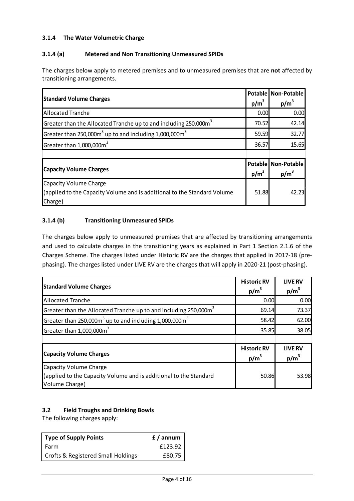### 3.1.4 The Water Volumetric Charge

### 3.1.4 (a) Metered and Non Transitioning Unmeasured SPIDs

The charges below apply to metered premises and to unmeasured premises that are not affected by transitioning arrangements.

| <b>Standard Volume Charges</b>                                                 |       | Potable Non-Potable |
|--------------------------------------------------------------------------------|-------|---------------------|
|                                                                                |       | $p/m^3$             |
| <b>Allocated Tranche</b>                                                       | 0.00  | 0.00                |
| Greater than the Allocated Tranche up to and including 250,000m <sup>3</sup>   | 70.52 | 42.14               |
| Greater than 250,000m <sup>3</sup> up to and including 1,000,000m <sup>3</sup> | 59.59 | 32.77               |
| Greater than 1,000,000m <sup>3</sup>                                           | 36.57 | 15.65               |
|                                                                                |       |                     |
|                                                                                |       | Potable Non-Potable |
| <b>Capacity Volume Charges</b>                                                 |       | $p/m^3$             |
| Capacity Volume Charge                                                         |       |                     |
| (applied to the Capacity Volume and is additional to the Standard Volume       | 51.88 | 42.23               |
| Charge)                                                                        |       |                     |

### 3.1.4 (b) Transitioning Unmeasured SPIDs

The charges below apply to unmeasured premises that are affected by transitioning arrangements and used to calculate charges in the transitioning years as explained in Part 1 Section 2.1.6 of the Charges Scheme. The charges listed under Historic RV are the charges that applied in 2017-18 (prephasing). The charges listed under LIVE RV are the charges that will apply in 2020-21 (post-phasing).

| <b>Standard Volume Charges</b>                                                                                | <b>Historic RV</b><br>$p/m^3$ | <b>LIVE RV</b><br>$p/m^3$ |
|---------------------------------------------------------------------------------------------------------------|-------------------------------|---------------------------|
| <b>Allocated Tranche</b>                                                                                      | 0.00                          | 0.00                      |
| Greater than the Allocated Tranche up to and including 250,000 $m3$                                           | 69.14                         | 73.37                     |
| Greater than 250,000 $m3$ up to and including 1,000,000 $m3$                                                  | 58.42                         | 62.00                     |
| Greater than 1,000,000m <sup>3</sup>                                                                          | 35.85                         | 38.05                     |
|                                                                                                               |                               |                           |
| <b>Capacity Volume Charges</b>                                                                                | <b>Historic RV</b><br>$p/m^3$ | <b>LIVE RV</b><br>$p/m^3$ |
| Capacity Volume Charge<br>(applied to the Capacity Volume and is additional to the Standard<br>Volume Charge) | 50.86                         | 53.98                     |

## 3.2 Field Troughs and Drinking Bowls

The following charges apply:

| <b>Type of Supply Points</b>       | $f /$ annum |  |
|------------------------------------|-------------|--|
| Farm                               | £123.92     |  |
| Crofts & Registered Small Holdings | £80.75      |  |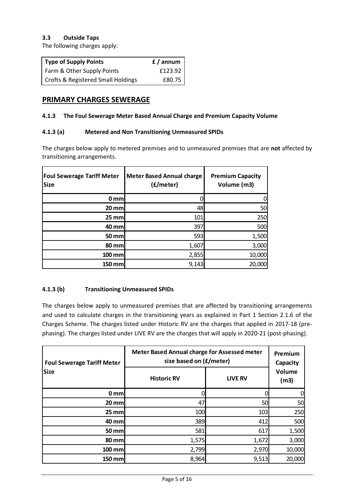#### 3.3 Outside Taps

The following charges apply:

| <b>Type of Supply Points</b>                  | $f /$ annum |
|-----------------------------------------------|-------------|
| Farm & Other Supply Points                    | £123.92     |
| <b>Crofts &amp; Registered Small Holdings</b> | £80.75      |

## PRIMARY CHARGES SEWERAGE

#### 4.1.3 The Foul Sewerage Meter Based Annual Charge and Premium Capacity Volume

#### 4.1.3 (a) Metered and Non Transitioning Unmeasured SPIDs

The charges below apply to metered premises and to unmeasured premises that are not affected by transitioning arrangements.

| <b>Foul Sewerage Tariff Meter</b><br><b>Size</b> | <b>Meter Based Annual charge</b><br>(£/meter) | <b>Premium Capacity</b><br>Volume (m3) |
|--------------------------------------------------|-----------------------------------------------|----------------------------------------|
| 0 <sub>mm</sub>                                  |                                               |                                        |
| <b>20 mm</b>                                     | 48                                            | 50                                     |
| $25$ mm                                          | 101                                           | 250                                    |
| <b>40 mm</b>                                     | 397                                           | 500                                    |
| <b>50 mm</b>                                     | 593                                           | 1,500                                  |
| <b>80 mm</b>                                     | 1,607                                         | 3,000                                  |
| 100 mm                                           | 2,855                                         | 10,000                                 |
| 150 mm                                           | 9,143                                         | 20,000                                 |

#### 4.1.3 (b) Transitioning Unmeasured SPIDs

| <b>Foul Sewerage Tariff Meter</b> | Meter Based Annual charge for Assessed meter<br>size based on (£/meter) | Premium<br>Capacity |                |
|-----------------------------------|-------------------------------------------------------------------------|---------------------|----------------|
| <b>Size</b>                       | <b>Historic RV</b>                                                      | <b>LIVE RV</b>      | Volume<br>(m3) |
| 0 mm                              |                                                                         |                     |                |
| $20$ mm                           | 47                                                                      | 50                  | 50             |
| $25$ mm                           | 100                                                                     | 103                 | 250            |
| 40 mm                             | 389                                                                     | 412                 | 500            |
| 50 mm                             | 581                                                                     | 617                 | 1,500          |
| <b>80 mm</b>                      | 1,575                                                                   | 1,672               | 3,000          |
| 100 mm                            | 2,799                                                                   | 2,970               | 10,000         |
| <b>150 mm</b>                     | 8,964                                                                   | 9,513               | 20,000         |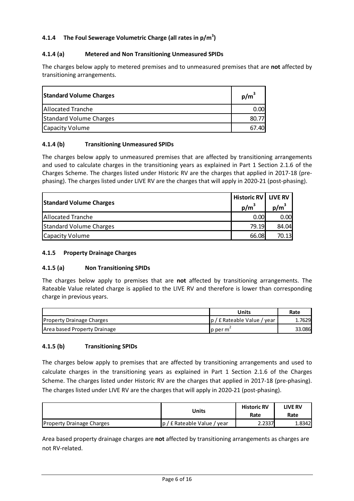## 4.1.4 The Foul Sewerage Volumetric Charge (all rates in  $p/m^3$ )

#### 4.1.4 (a) Metered and Non Transitioning Unmeasured SPIDs

The charges below apply to metered premises and to unmeasured premises that are not affected by transitioning arrangements.

| <b>Standard Volume Charges</b> | $p/m^3$ |
|--------------------------------|---------|
| <b>Allocated Tranche</b>       | 0.00    |
| <b>Standard Volume Charges</b> |         |
| Capacity Volume                | 67.40   |

#### 4.1.4 (b) Transitioning Unmeasured SPIDs

The charges below apply to unmeasured premises that are affected by transitioning arrangements and used to calculate charges in the transitioning years as explained in Part 1 Section 2.1.6 of the Charges Scheme. The charges listed under Historic RV are the charges that applied in 2017-18 (prephasing). The charges listed under LIVE RV are the charges that will apply in 2020-21 (post-phasing).

| <b>Standard Volume Charges</b> | Historic RV   LIVE RV<br>$p/m^3$ | $p/m^3$ |
|--------------------------------|----------------------------------|---------|
| Allocated Tranche              | 0.00                             | 0.00    |
| <b>Standard Volume Charges</b> | 79.19                            | 84.04   |
| <b>Capacity Volume</b>         | 66.08                            | 70.13   |

#### 4.1.5 Property Drainage Charges

#### 4.1.5 (a) Non Transitioning SPIDs

The charges below apply to premises that are not affected by transitioning arrangements. The Rateable Value related charge is applied to the LIVE RV and therefore is lower than corresponding charge in previous years.

|                                  | Units                       | Rate   |
|----------------------------------|-----------------------------|--------|
| <b>Property Drainage Charges</b> | p / £ Rateable Value / year | .7629  |
| Area based Property Drainage     | p per m                     | 33.086 |

#### 4.1.5 (b) Transitioning SPIDs

The charges below apply to premises that are affected by transitioning arrangements and used to calculate charges in the transitioning years as explained in Part 1 Section 2.1.6 of the Charges Scheme. The charges listed under Historic RV are the charges that applied in 2017-18 (pre-phasing). The charges listed under LIVE RV are the charges that will apply in 2020-21 (post-phasing).

|                                  | Units                        | <b>Historic RV</b><br>Rate | LIVE RV<br>Rate |
|----------------------------------|------------------------------|----------------------------|-----------------|
| <b>Property Drainage Charges</b> | Ip / £ Rateable Value / year | 2.2337                     | 1.8342          |

Area based property drainage charges are not affected by transitioning arrangements as charges are not RV-related.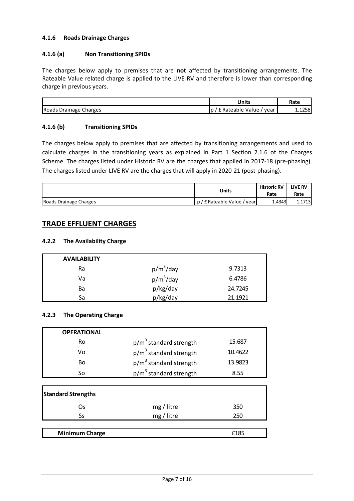#### 4.1.6 Roads Drainage Charges

### 4.1.6 (a) Non Transitioning SPIDs

The charges below apply to premises that are not affected by transitioning arrangements. The Rateable Value related charge is applied to the LIVE RV and therefore is lower than corresponding charge in previous years.

|                        | Units                          | Rate   |
|------------------------|--------------------------------|--------|
| Roads Drainage Charges | : Rateable Value<br>year<br>ıυ | 1.1258 |

### 4.1.6 (b) Transitioning SPIDs

The charges below apply to premises that are affected by transitioning arrangements and used to calculate charges in the transitioning years as explained in Part 1 Section 2.1.6 of the Charges Scheme. The charges listed under Historic RV are the charges that applied in 2017-18 (pre-phasing). The charges listed under LIVE RV are the charges that will apply in 2020-21 (post-phasing).

|                        | Units                   | <b>Historic RV</b><br>Rate | <b>LIVE RV</b><br>Rate |
|------------------------|-------------------------|----------------------------|------------------------|
| Roads Drainage Charges | p/f Rateable Value/year | 1.4343                     | 1.1713                 |

# TRADE EFFLUENT CHARGES

#### 4.2.2 The Availability Charge

| <b>AVAILABILITY</b> |              |         |
|---------------------|--------------|---------|
| Ra                  | $p/m^3$ /day | 9.7313  |
| Va                  | $p/m^3$ /day | 6.4786  |
| Ba                  | p/kg/day     | 24.7245 |
| Sa                  | p/kg/day     | 21.1921 |

#### 4.2.3 The Operating Charge

| <b>OPERATIONAL</b> |                                    |         |
|--------------------|------------------------------------|---------|
| Ro                 | $p/m3$ standard strength           | 15.687  |
| ۷o                 | $p/m3$ standard strength           | 10.4622 |
| Bo                 | $p/m3$ standard strength           | 13.9823 |
| So                 | p/m <sup>3</sup> standard strength | 8.55    |

| <b>Standard Strengths</b> |            |      |
|---------------------------|------------|------|
| Os                        | mg / litre | 350  |
| Ss                        | mg / litre | 250  |
|                           |            |      |
| <b>Minimum Charge</b>     |            | £185 |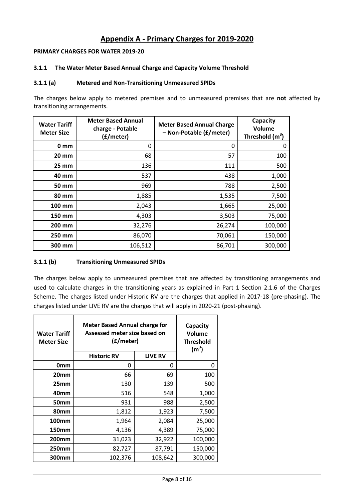# Appendix A - Primary Charges for 2019-2020

#### PRIMARY CHARGES FOR WATER 2019-20

#### 3.1.1 The Water Meter Based Annual Charge and Capacity Volume Threshold

#### 3.1.1 (a) Metered and Non-Transitioning Unmeasured SPIDs

The charges below apply to metered premises and to unmeasured premises that are not affected by transitioning arrangements.

| <b>Water Tariff</b><br><b>Meter Size</b> | <b>Meter Based Annual</b><br>charge - Potable<br>(£/meter) | <b>Meter Based Annual Charge</b><br>- Non-Potable (£/meter) | Capacity<br>Volume<br>Threshold $(m^3)$ |
|------------------------------------------|------------------------------------------------------------|-------------------------------------------------------------|-----------------------------------------|
| 0 <sub>mm</sub>                          | 0                                                          | 0                                                           | O                                       |
| 20 mm                                    | 68                                                         | 57                                                          | 100                                     |
| $25 \, \text{mm}$                        | 136                                                        | 111                                                         | 500                                     |
| 40 mm                                    | 537                                                        | 438                                                         | 1,000                                   |
| 50 mm                                    | 969                                                        | 788                                                         | 2,500                                   |
| 80 mm                                    | 1,885                                                      | 1,535                                                       | 7,500                                   |
| <b>100 mm</b>                            | 2,043                                                      | 1,665                                                       | 25,000                                  |
| 150 mm                                   | 4,303                                                      | 3,503                                                       | 75,000                                  |
| 200 mm                                   | 32,276                                                     | 26,274                                                      | 100,000                                 |
| 250 mm                                   | 86,070                                                     | 70,061                                                      | 150,000                                 |
| 300 mm                                   | 106,512                                                    | 86,701                                                      | 300,000                                 |

#### 3.1.1 (b) Transitioning Unmeasured SPIDs

| <b>Water Tariff</b><br><b>Meter Size</b> | <b>Meter Based Annual charge for</b><br>Assessed meter size based on<br>(£/meter)<br><b>LIVE RV</b><br><b>Historic RV</b> |         | Capacity<br><b>Volume</b><br><b>Threshold</b><br>(m <sup>3</sup> ) |
|------------------------------------------|---------------------------------------------------------------------------------------------------------------------------|---------|--------------------------------------------------------------------|
| 0 <sub>mm</sub>                          | 0                                                                                                                         | 0       | 0                                                                  |
| 20 <sub>mm</sub>                         | 66                                                                                                                        | 69      | 100                                                                |
| 25mm                                     | 130                                                                                                                       | 139     | 500                                                                |
| 40 <sub>mm</sub>                         | 516                                                                                                                       | 548     | 1,000                                                              |
| 50 <sub>mm</sub>                         | 931                                                                                                                       | 988     | 2,500                                                              |
| 80 <sub>mm</sub>                         | 1,812                                                                                                                     | 1,923   | 7,500                                                              |
| <b>100mm</b>                             | 1,964                                                                                                                     | 2,084   | 25,000                                                             |
| 150mm                                    | 4,136                                                                                                                     | 4,389   | 75,000                                                             |
| 200 <sub>mm</sub>                        | 31,023                                                                                                                    | 32,922  | 100,000                                                            |
| 250mm                                    | 82,727                                                                                                                    | 87,791  | 150,000                                                            |
| 300mm                                    | 102,376                                                                                                                   | 108,642 | 300,000                                                            |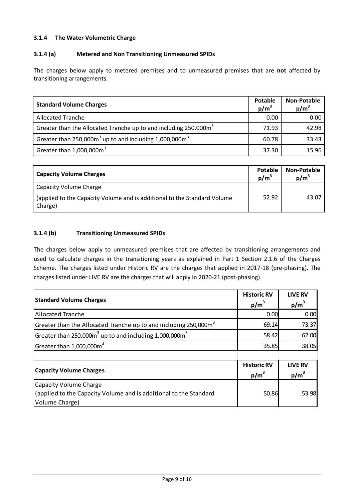### 3.1.4 The Water Volumetric Charge

#### 3.1.4 (a) Metered and Non Transitioning Unmeasured SPIDs

The charges below apply to metered premises and to unmeasured premises that are not affected by transitioning arrangements.

| <b>Standard Volume Charges</b>                                                       | Potable<br>$p/m^3$ | <b>Non-Potable</b><br>$p/m^3$ |
|--------------------------------------------------------------------------------------|--------------------|-------------------------------|
| <b>Allocated Tranche</b>                                                             | 0.00               | 0.00                          |
| Greater than the Allocated Tranche up to and including 250,000m <sup>3</sup>         | 71.93              | 42.98                         |
| Greater than $250,000$ m <sup>3</sup> up to and including $1,000,000$ m <sup>3</sup> | 60.78              | 33.43                         |
| Greater than $1,000,000\text{m}^3$                                                   | 37.30              | 15.96                         |

| <b>Capacity Volume Charges</b>                                                      | Potable<br>$p/m^3$ | Non-Potable<br>$p/m^3$ |
|-------------------------------------------------------------------------------------|--------------------|------------------------|
| Capacity Volume Charge                                                              |                    |                        |
| (applied to the Capacity Volume and is additional to the Standard Volume<br>Charge) | 52.92              | 43.07                  |

#### 3.1.4 (b) Transitioning Unmeasured SPIDs

| <b>Standard Volume Charges</b>                                                                                       | <b>Historic RV</b><br>$p/m^3$ | <b>LIVE RV</b><br>$p/m^3$ |
|----------------------------------------------------------------------------------------------------------------------|-------------------------------|---------------------------|
| <b>Allocated Tranche</b>                                                                                             | 0.00                          | 0.00                      |
| Greater than the Allocated Tranche up to and including 250,000m <sup>3</sup>                                         | 69.14                         | 73.37                     |
| Greater than 250,000 $m3$ up to and including 1,000,000 $m3$                                                         | 58.42                         | 62.00                     |
| Greater than 1,000,000m <sup>3</sup>                                                                                 | 35.85                         | 38.05                     |
|                                                                                                                      |                               |                           |
| <b>Capacity Volume Charges</b>                                                                                       | <b>Historic RV</b><br>$p/m^3$ | <b>LIVE RV</b><br>$p/m^3$ |
| <b>Capacity Volume Charge</b><br>(applied to the Capacity Volume and is additional to the Standard<br>Volume Charge) | 50.86                         | 53.98                     |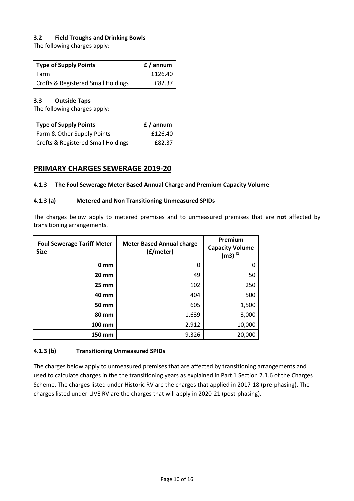### 3.2 Field Troughs and Drinking Bowls

The following charges apply:

| Type of Supply Points                         | f / annum |
|-----------------------------------------------|-----------|
| Farm                                          | £126.40   |
| <b>Crofts &amp; Registered Small Holdings</b> | £82.37    |

#### 3.3 Outside Taps

The following charges apply:

| <b>Type of Supply Points</b>       | f / annum |
|------------------------------------|-----------|
| Farm & Other Supply Points         | £126.40   |
| Crofts & Registered Small Holdings | £82.37    |

# PRIMARY CHARGES SEWERAGE 2019-20

#### 4.1.3 The Foul Sewerage Meter Based Annual Charge and Premium Capacity Volume

#### 4.1.3 (a) Metered and Non Transitioning Unmeasured SPIDs

The charges below apply to metered premises and to unmeasured premises that are not affected by transitioning arrangements.

| <b>Foul Sewerage Tariff Meter</b><br><b>Size</b> | <b>Meter Based Annual charge</b><br>(£/meter) | Premium<br><b>Capacity Volume</b><br>$(m3)^{[1]}$ |
|--------------------------------------------------|-----------------------------------------------|---------------------------------------------------|
| 0 <sub>mm</sub>                                  | 0                                             |                                                   |
| <b>20 mm</b>                                     | 49                                            | 50                                                |
| <b>25 mm</b>                                     | 102                                           | 250                                               |
| 40 mm                                            | 404                                           | 500                                               |
| <b>50 mm</b>                                     | 605                                           | 1,500                                             |
| <b>80 mm</b>                                     | 1,639                                         | 3,000                                             |
| <b>100 mm</b>                                    | 2,912                                         | 10,000                                            |
| 150 mm                                           | 9,326                                         | 20,000                                            |

#### 4.1.3 (b) Transitioning Unmeasured SPIDs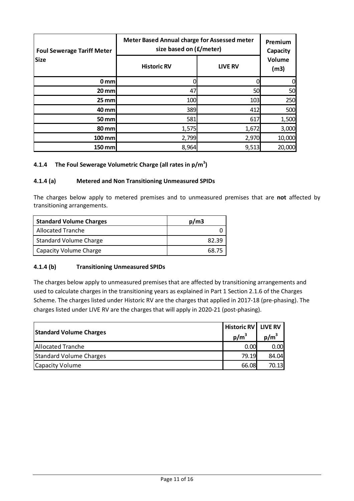| <b>Foul Sewerage Tariff Meter</b><br><b>Size</b> | Meter Based Annual charge for Assessed meter<br>size based on (£/meter) | Premium<br>Capacity<br>Volume |                |  |
|--------------------------------------------------|-------------------------------------------------------------------------|-------------------------------|----------------|--|
|                                                  | <b>Historic RV</b>                                                      | <b>LIVE RV</b>                | (m3)           |  |
| $0 \text{ mm}$                                   |                                                                         |                               | $\overline{0}$ |  |
| $20$ mm                                          | 47                                                                      | 50                            | 50             |  |
| $25$ mm                                          | 100                                                                     | 103                           | 250            |  |
| 40 mm                                            | 389                                                                     | 412                           | 500            |  |
| $50$ mm                                          | 581                                                                     | 617                           | 1,500          |  |
| 80 mm                                            | 1,575                                                                   | 1,672                         | 3,000          |  |
| 100 mm                                           | 2,799                                                                   | 2,970                         | 10,000         |  |
| 150 mm                                           | 8,964                                                                   | 9,513                         | 20,000         |  |

### 4.1.4 The Foul Sewerage Volumetric Charge (all rates in  $p/m^3$ )

#### 4.1.4 (a) Metered and Non Transitioning Unmeasured SPIDs

The charges below apply to metered premises and to unmeasured premises that are not affected by transitioning arrangements.

| <b>Standard Volume Charges</b> | p/m3  |
|--------------------------------|-------|
| <b>Allocated Tranche</b>       |       |
| <b>Standard Volume Charge</b>  | 82.39 |
| Capacity Volume Charge         | 68.75 |

#### 4.1.4 (b) Transitioning Unmeasured SPIDs

| <b>Standard Volume Charges</b> | Historic RV   LIVE RV<br>$p/m^3$ | $p/m^3$        |
|--------------------------------|----------------------------------|----------------|
| <b>Allocated Tranche</b>       | 0.00                             | 0.00           |
| <b>Standard Volume Charges</b> |                                  | 79.19<br>84.04 |
| <b>Capacity Volume</b>         | 66.08                            | 70.13          |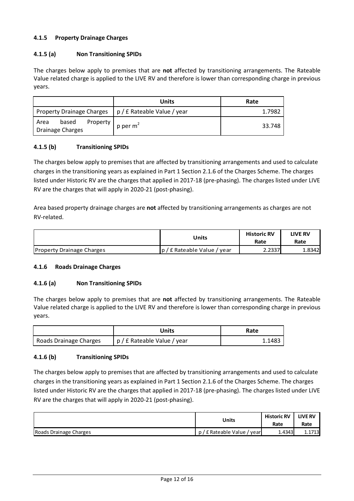### 4.1.5 Property Drainage Charges

### 4.1.5 (a) Non Transitioning SPIDs

The charges below apply to premises that are not affected by transitioning arrangements. The Rateable Value related charge is applied to the LIVE RV and therefore is lower than corresponding charge in previous years.

|                                                      | <b>Units</b>                | Rate   |
|------------------------------------------------------|-----------------------------|--------|
| <b>Property Drainage Charges</b>                     | p / £ Rateable Value / year | 1.7982 |
| Property<br>based<br>Area<br><b>Drainage Charges</b> | $p$ per $m^2$               | 33.748 |

#### 4.1.5 (b) Transitioning SPIDs

The charges below apply to premises that are affected by transitioning arrangements and used to calculate charges in the transitioning years as explained in Part 1 Section 2.1.6 of the Charges Scheme. The charges listed under Historic RV are the charges that applied in 2017-18 (pre-phasing). The charges listed under LIVE RV are the charges that will apply in 2020-21 (post-phasing).

Area based property drainage charges are not affected by transitioning arrangements as charges are not RV-related.

|                                  | Units                       | <b>Historic RV</b><br>Rate | <b>LIVE RV</b><br>Rate |
|----------------------------------|-----------------------------|----------------------------|------------------------|
| <b>Property Drainage Charges</b> | p / £ Rateable Value / year | 2.2337                     | 1.8342                 |

#### 4.1.6 Roads Drainage Charges

#### 4.1.6 (a) Non Transitioning SPIDs

The charges below apply to premises that are not affected by transitioning arrangements. The Rateable Value related charge is applied to the LIVE RV and therefore is lower than corresponding charge in previous years.

|                        | Units                       | Rate   |
|------------------------|-----------------------------|--------|
| Roads Drainage Charges | p / £ Rateable Value / year | 1.1483 |

#### 4.1.6 (b) Transitioning SPIDs

|                        | Units                     | <b>Historic RV</b><br>Rate | <b>LIVE RV</b><br>Rate |
|------------------------|---------------------------|----------------------------|------------------------|
| Roads Drainage Charges | ' £ Rateable Value / year | 1.4343                     | 1.1713                 |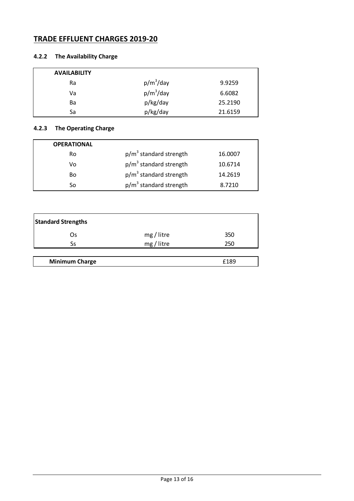# TRADE EFFLUENT CHARGES 2019-20

# 4.2.2 The Availability Charge

| <b>AVAILABILITY</b> |              |         |
|---------------------|--------------|---------|
| Ra                  | $p/m^3$ /day | 9.9259  |
| Va                  | $p/m^3$ /day | 6.6082  |
| Ba                  | p/kg/day     | 25.2190 |
| Sa                  | p/kg/day     | 21.6159 |

# 4.2.3 The Operating Charge

| <b>OPERATIONAL</b> |                          |         |
|--------------------|--------------------------|---------|
| Ro                 | $p/m3$ standard strength | 16.0007 |
| Vo                 | $p/m3$ standard strength | 10.6714 |
| Bo                 | $p/m3$ standard strength | 14.2619 |
| Sο                 | $p/m3$ standard strength | 8.7210  |

| <b>Standard Strengths</b> |            |      |
|---------------------------|------------|------|
| Os                        | mg / litre | 350  |
| Ss                        | mg / litre | 250  |
|                           |            |      |
| <b>Minimum Charge</b>     |            | £189 |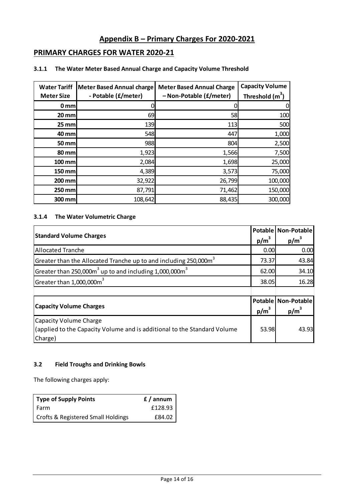# Appendix B – Primary Charges For 2020-2021

# PRIMARY CHARGES FOR WATER 2020-21

| <b>Water Tariff</b><br><b>Meter Size</b> | <b>Meter Based Annual charge</b><br>- Potable (£/meter) | <b>Meter Based Annual Charge</b><br>-Non-Potable (£/meter) | <b>Capacity Volume</b><br>Threshold $(m^3)$ |
|------------------------------------------|---------------------------------------------------------|------------------------------------------------------------|---------------------------------------------|
| $0 \, \text{mm}$                         |                                                         |                                                            | 0                                           |
| $20$ mm                                  | 69                                                      | 58                                                         | 100                                         |
| $25$ mm                                  | 139                                                     | 113                                                        | 500                                         |
| 40 mm                                    | 548                                                     | 447                                                        | 1,000                                       |
| 50 mm                                    | 988                                                     | 804                                                        | 2,500                                       |
| 80 mm                                    | 1,923                                                   | 1,566                                                      | 7,500                                       |
| <b>100 mm</b>                            | 2,084                                                   | 1,698                                                      | 25,000                                      |
| 150 mm                                   | 4,389                                                   | 3,573                                                      | 75,000                                      |
| 200 mm                                   | 32,922                                                  | 26,799                                                     | 100,000                                     |
| 250 mm                                   | 87,791                                                  | 71,462                                                     | 150,000                                     |
| 300 mm                                   | 108,642                                                 | 88,435                                                     | 300,000                                     |

### 3.1.1 The Water Meter Based Annual Charge and Capacity Volume Threshold

### 3.1.4 The Water Volumetric Charge

| <b>Standard Volume Charges</b>                                               |       | Potable Non-Potable |
|------------------------------------------------------------------------------|-------|---------------------|
|                                                                              |       | $p/m^3$             |
| <b>Allocated Tranche</b>                                                     | 0.00  | 0.00                |
| Greater than the Allocated Tranche up to and including 250,000m <sup>3</sup> | 73.37 | 43.84               |
| Greater than 250,000 $m3$ up to and including 1,000,000 $m3$                 | 62.00 | 34.10               |
| Greater than 1,000,000m <sup>3</sup>                                         | 38.05 | 16.28               |
|                                                                              |       |                     |
| <b>Capacity Volume Charges</b>                                               |       | Potable Non-Potable |
|                                                                              |       | $p/m^3$             |
| <b>Capacity Volume Charge</b>                                                |       |                     |
| (applied to the Capacity Volume and is additional to the Standard Volume     | 53.98 | 43.93               |
| Charge)                                                                      |       |                     |

#### 3.2 Field Troughs and Drinking Bowls

The following charges apply:

| Type of Supply Points                         | f / annum |
|-----------------------------------------------|-----------|
| l Farm                                        | £128.93   |
| <b>Crofts &amp; Registered Small Holdings</b> | £84.02    |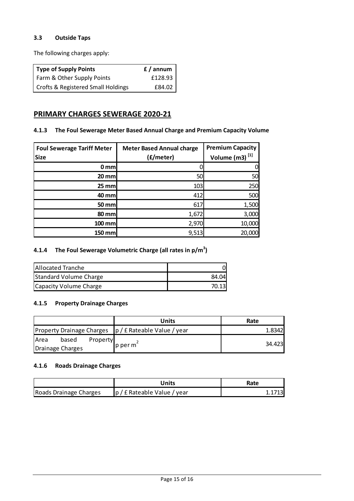### 3.3 Outside Taps

The following charges apply:

| Type of Supply Points                         | f / annum |
|-----------------------------------------------|-----------|
| Farm & Other Supply Points                    | £128.93   |
| <b>Crofts &amp; Registered Small Holdings</b> | £84.02    |

## PRIMARY CHARGES SEWERAGE 2020-21

#### 4.1.3 The Foul Sewerage Meter Based Annual Charge and Premium Capacity Volume

| <b>Foul Sewerage Tariff Meter</b><br><b>Size</b> | <b>Meter Based Annual charge</b><br>(£/meter) | <b>Premium Capacity</b><br>Volume (m3) <sup>[1]</sup> |
|--------------------------------------------------|-----------------------------------------------|-------------------------------------------------------|
| $0 \text{ mm}$                                   |                                               |                                                       |
| $20$ mm                                          | 50                                            | 50                                                    |
| $25$ mm                                          | 103                                           | 250                                                   |
| 40 mm                                            | 412                                           | 500                                                   |
| 50 mm                                            | 617                                           | 1,500                                                 |
| 80 mm                                            | 1,672                                         | 3,000                                                 |
| 100 mm                                           | 2,970                                         | 10,000                                                |
| 150 mm                                           | 9,513                                         | 20,000                                                |

#### 4.1.4 The Foul Sewerage Volumetric Charge (all rates in  $p/m^3$ )

| <b>Allocated Tranche</b> |       |
|--------------------------|-------|
| Standard Volume Charge   | 84.04 |
| Capacity Volume Charge   | 70.13 |

### 4.1.5 Property Drainage Charges

| Units | Rate                                                                                         |
|-------|----------------------------------------------------------------------------------------------|
|       | 1.8342                                                                                       |
|       | 34.423                                                                                       |
|       | Property Drainage Charges  p / £ Rateable Value / year<br>Property<br>$p$ per m <sup>2</sup> |

#### 4.1.6 Roads Drainage Charges

|                        | Jnits                       | Rate |
|------------------------|-----------------------------|------|
| Roads Drainage Charges | p / £ Rateable Value / year |      |